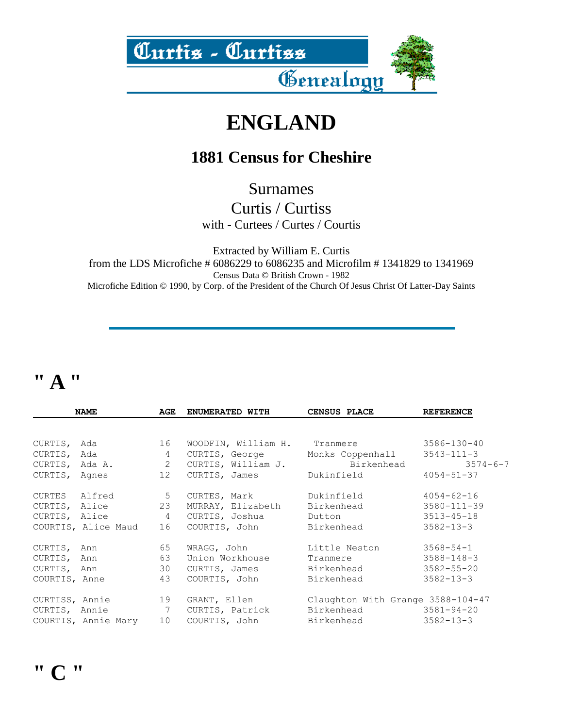

# **ENGLAND**

#### **1881 Census for Cheshire**

Surnames

Curtis / Curtiss with - Curtees / Curtes / Courtis

Extracted by William E. Curtis from the LDS Microfiche # 6086229 to 6086235 and Microfilm # 1341829 to 1341969 Census Data © British Crown - 1982 Microfiche Edition © 1990, by Corp. of the President of the Church Of Jesus Christ Of Latter-Day Saints

### **" A "**

|                | <b>NAME</b>         | AGE             | ENUMERATED WITH     | CENSUS PLACE                      | <b>REFERENCE</b>  |
|----------------|---------------------|-----------------|---------------------|-----------------------------------|-------------------|
|                |                     |                 |                     |                                   |                   |
| CURTIS,        | Ada                 | 16              | WOODFIN, William H. | Tranmere                          | 3586-130-40       |
| CURTIS, Ada    |                     | $\overline{4}$  | CURTIS, George      | Monks Coppenhall                  | $3543 - 111 - 3$  |
| CURTIS, Ada A. |                     | 2               | CURTIS, William J.  | Birkenhead                        | $3574 - 6 - 7$    |
| CURTIS, Agnes  |                     | 12 <sup>7</sup> | CURTIS, James       | Dukinfield                        | $4054 - 51 - 37$  |
| CURTES Alfred  |                     | $5^{\circ}$     | CURTES, Mark        | Dukinfield                        | $4054 - 62 - 16$  |
| CURTIS, Alice  |                     | 23              | MURRAY, Elizabeth   | Birkenhead                        | $3580 - 111 - 39$ |
| CURTIS, Alice  |                     | $\overline{4}$  | CURTIS, Joshua      | Dutton                            | $3513 - 45 - 18$  |
|                | COURTIS, Alice Maud | 16              | COURTIS, John       | Birkenhead                        | $3582 - 13 - 3$   |
| CURTIS, Ann    |                     | 65              | WRAGG, John         | Little Neston                     | $3568 - 54 - 1$   |
| CURTIS, Ann    |                     | 63              | Union Workhouse     | Tranmere                          | $3588 - 148 - 3$  |
| CURTIS, Ann    |                     | 30              | CURTIS, James       | Birkenhead                        | $3582 - 55 - 20$  |
| COURTIS, Anne  |                     | 43              | COURTIS, John       | Birkenhead                        | $3582 - 13 - 3$   |
| CURTISS, Annie |                     | 19              | GRANT, Ellen        | Claughton With Grange 3588-104-47 |                   |
| CURTIS, Annie  |                     | $\overline{7}$  | CURTIS, Patrick     | Birkenhead                        | $3581 - 94 - 20$  |
|                | COURTIS, Annie Mary | 10              | COURTIS, John       | Birkenhead                        | $3582 - 13 - 3$   |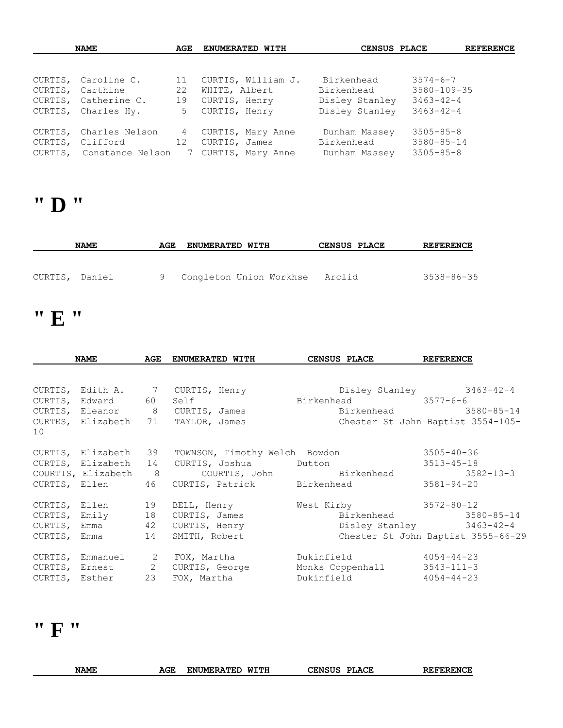| <b>NAME</b> |                          | ENUMERATED WITH<br>AGE |                     | CENSUS PLACE   | <b>REFERENCE</b> |  |
|-------------|--------------------------|------------------------|---------------------|----------------|------------------|--|
|             |                          |                        |                     |                |                  |  |
|             | CURTIS, Caroline C.      | 11                     | CURTIS, William J.  | Birkenhead     | $3574 - 6 - 7$   |  |
|             | CURTIS, Carthine         | 22                     | WHITE, Albert       | Birkenhead     | 3580-109-35      |  |
|             | CURTIS, Catherine C.     | 19                     | CURTIS, Henry       | Disley Stanley | $3463 - 42 - 4$  |  |
|             | CURTIS, Charles Hy.      | 5                      | CURTIS, Henry       | Disley Stanley | $3463 - 42 - 4$  |  |
|             | CURTIS, Charles Nelson   | 4                      | CURTIS, Mary Anne   | Dunham Massey  | $3505 - 85 - 8$  |  |
|             | CURTIS, Clifford         | 12                     | CURTIS, James       | Birkenhead     | $3580 - 85 - 14$ |  |
|             | CURTIS, Constance Nelson |                        | 7 CURTIS, Mary Anne | Dunham Massey  | $3505 - 85 - 8$  |  |

# **" D "**

| <b>NAME</b>    | AGE | <b>ENUMERATED WITH</b>    | CENSUS PLACE | <b>REFERENCE</b> |
|----------------|-----|---------------------------|--------------|------------------|
| CURTIS, Daniel |     | 9 Congleton Union Workhse | Arclid       | 3538-86-35       |

# **" E "**

|    | <b>NAME</b>       | AGE | ENUMERATED WITH                 | <b>CENSUS PLACE</b>                                                  | <b>REFERENCE</b>                   |
|----|-------------------|-----|---------------------------------|----------------------------------------------------------------------|------------------------------------|
|    |                   |     |                                 | CURTIS, Edith A. 7 CURTIS, Henry . Disley Stanley 3463-42-4          |                                    |
|    | CURTIS, Edward 60 |     |                                 | Self Birkenhead 3577-6-6                                             |                                    |
|    |                   |     | CURTIS, Eleanor 8 CURTIS, James |                                                                      | Birkenhead 3580-85-14              |
| 10 |                   |     |                                 | CURTES, Elizabeth 71 TAYLOR, James Chester St John Baptist 3554-105- |                                    |
|    |                   |     |                                 | CURTIS, Elizabeth 39 TOWNSON, Timothy Welch Bowdon 3505-40-36        |                                    |
|    |                   |     |                                 | CURTIS, Elizabeth 14 CURTIS, Joshua button 3513-45-18                |                                    |
|    |                   |     |                                 | COURTIS, Elizabeth 8 COURTIS, John Birkenhead 3582-13-3              |                                    |
|    |                   |     |                                 | CURTIS, Ellen 46 CURTIS, Patrick Birkenhead 3581-94-20               |                                    |
|    |                   |     | CURTIS, Ellen 19 BELL, Henry    | West Kirby 3572-80-12                                                |                                    |
|    | CURTIS, Emily 18  |     | CURTIS, James                   |                                                                      | Birkenhead 3580-85-14              |
|    |                   |     | CURTIS, Emma 42 CURTIS, Henry   |                                                                      | Disley Stanley 3463-42-4           |
|    |                   |     | CURTIS, Emma 14 SMITH, Robert   |                                                                      | Chester St John Baptist 3555-66-29 |
|    |                   |     | CURTIS, Emmanuel 2 FOX, Martha  | Dukinfield 4054-44-23                                                |                                    |
|    |                   |     |                                 | CURTIS, Ernest 2 CURTIS, George Monks Coppenhall 3543-111-3          |                                    |
|    | CURTIS, Esther 23 |     | FOX, Martha                     | Dukinfield 4054-44-23                                                |                                    |

# **" F "**

| <b>NAME</b> | AGE | <b>ENUMERATED</b> | WITH | <b>CENSUS</b> | <b>PLACE</b> | <b>REFERENCE</b> |
|-------------|-----|-------------------|------|---------------|--------------|------------------|
|             |     |                   |      |               |              |                  |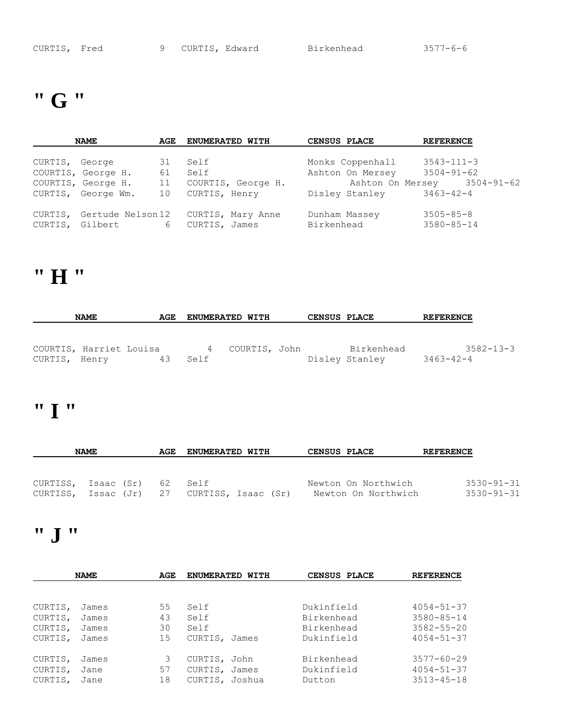### **" G "**

|                | <b>NAME</b>               | AGE             | <b>ENUMERATED WITH</b> | CENSUS PLACE     | <b>REFERENCE</b>            |
|----------------|---------------------------|-----------------|------------------------|------------------|-----------------------------|
|                |                           |                 |                        |                  |                             |
| CURTIS, George |                           | 31              | Self                   | Monks Coppenhall | $3543 - 111 - 3$            |
|                | COURTIS, George H.        | 61              | Self                   | Ashton On Mersey | $3504 - 91 - 62$            |
|                | COURTIS, George H.        | 11              | COURTIS, George H.     |                  | Ashton On Mersey 3504-91-62 |
|                | CURTIS, George Wm.        | 10              | CURTIS, Henry          | Disley Stanley   | $3463 - 42 - 4$             |
|                | CURTIS, Gertude Nelson 12 |                 | CURTIS, Mary Anne      | Dunham Massey    | $3505 - 85 - 8$             |
|                | CURTIS, Gilbert           | $6\overline{6}$ | CURTIS, James          | Birkenhead       | $3580 - 85 - 14$            |

#### **" H "**

| <b>NAME</b><br>AGE                       |  | <b>ENUMERATED WITH</b> |      | <b>CENSUS PLACE</b> |  | <b>REFERENCE</b> |                              |           |                 |
|------------------------------------------|--|------------------------|------|---------------------|--|------------------|------------------------------|-----------|-----------------|
|                                          |  |                        |      |                     |  |                  |                              |           |                 |
| COURTIS, Harriet Louisa<br>CURTIS, Henry |  | 43.                    | Self | 4 COURTIS, John     |  |                  | Birkenhead<br>Disley Stanley | 3463-42-4 | $3582 - 13 - 3$ |

### **" I "**

| <b>NAME</b>         |  | AGE | <b>ENUMERATED WITH</b> |                                   |  | <b>CENSUS PLACE</b> |                     | <b>REFERENCE</b> |                  |
|---------------------|--|-----|------------------------|-----------------------------------|--|---------------------|---------------------|------------------|------------------|
|                     |  |     |                        |                                   |  |                     |                     |                  |                  |
| CURTISS, Isaac (Sr) |  |     | 62                     | Self                              |  |                     | Newton On Northwich |                  | $3530 - 91 - 31$ |
| CURTISS,            |  |     |                        | Issac (Jr) 27 CURTISS, Isaac (Sr) |  |                     | Newton On Northwich |                  | $3530 - 91 - 31$ |

### **" J "**

| <b>NAME</b> |       | AGE | ENUMERATED WITH | <b>CENSUS PLACE</b> | <b>REFERENCE</b> |
|-------------|-------|-----|-----------------|---------------------|------------------|
|             |       |     |                 |                     |                  |
| CURTIS,     | James | 55  | Self            | Dukinfield          | $4054 - 51 - 37$ |
| CURTIS,     | James | 43  | Self            | Birkenhead          | $3580 - 85 - 14$ |
| CURTIS,     | James | 30  | Self            | Birkenhead          | $3582 - 55 - 20$ |
| CURTIS,     | James | 15  | CURTIS, James   | Dukinfield          | $4054 - 51 - 37$ |
| CURTIS,     | James | 3   | CURTIS, John    | Birkenhead          | $3577 - 60 - 29$ |
| CURTIS,     | Jane  | 57  | CURTIS, James   | Dukinfield          | $4054 - 51 - 37$ |
| CURTIS,     | Jane  | 18  | CURTIS, Joshua  | Dutton              | $3513 - 45 - 18$ |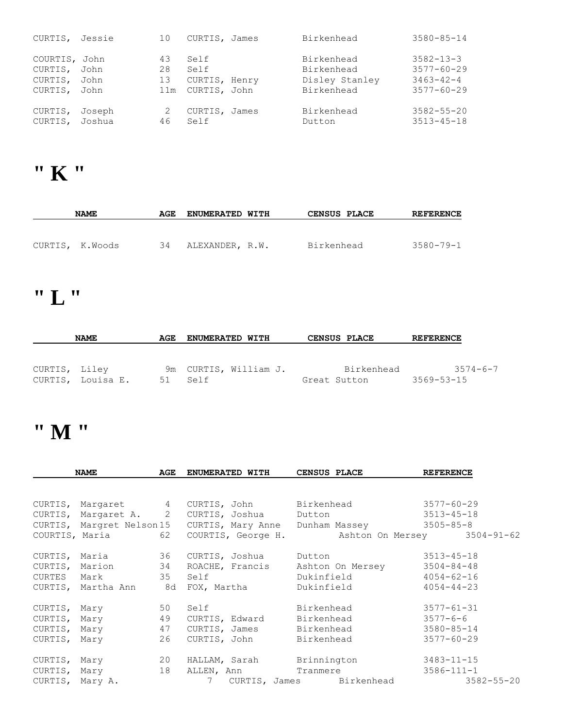| CURTIS, Jessie                                 |                      | 10                    | CURTIS, James                                 | Birkenhead                                               | $3580 - 85 - 14$                                                           |
|------------------------------------------------|----------------------|-----------------------|-----------------------------------------------|----------------------------------------------------------|----------------------------------------------------------------------------|
| COURTIS, John<br>CURTIS,<br>CURTIS,<br>CURTIS, | John<br>John<br>John | 43<br>28<br>13<br>11m | Self<br>Self<br>CURTIS, Henry<br>CURTIS, John | Birkenhead<br>Birkenhead<br>Disley Stanley<br>Birkenhead | $3582 - 13 - 3$<br>$3577 - 60 - 29$<br>$3463 - 42 - 4$<br>$3577 - 60 - 29$ |
| CURTIS,<br>CURTIS, Joshua                      | Joseph               | 46                    | CURTIS, James<br>Self                         | Birkenhead<br>Dutton                                     | $3582 - 55 - 20$<br>$3513 - 45 - 18$                                       |

# **" K "**

| <b>NAME</b> |                 | AGE | <b>ENUMERATED WITH</b> | <b>CENSUS PLACE</b> | <b>REFERENCE</b> |
|-------------|-----------------|-----|------------------------|---------------------|------------------|
|             |                 |     |                        |                     |                  |
|             | CURTIS, K.Woods | 34  | ALEXANDER, R.W.        | Birkenhead          | $3580 - 79 - 1$  |

# **" L "**

| <b>NAME</b>   |                   | <b>ENUMERATED WITH</b><br>AGE |                       | <b>CENSUS PLACE</b> |            | <b>REFERENCE</b> |  |
|---------------|-------------------|-------------------------------|-----------------------|---------------------|------------|------------------|--|
| CURTIS, Liley |                   |                               | 9m CURTIS, William J. |                     | Birkenhead | $3574 - 6 - 7$   |  |
|               | CURTIS, Louisa E. | 51                            | Self                  | Great Sutton        |            | $3569 - 53 - 15$ |  |

### **" M "**

|                 | <b>NAME</b>               | AGE |                 | ENUMERATED WITH    | CENSUS PLACE              | <b>REFERENCE</b> |
|-----------------|---------------------------|-----|-----------------|--------------------|---------------------------|------------------|
|                 |                           |     |                 |                    |                           |                  |
|                 | CURTIS, Margaret 4        |     |                 | CURTIS, John       | Birkenhead                | $3577 - 60 - 29$ |
|                 | CURTIS, Margaret A. 2     |     |                 | CURTIS, Joshua     | Dutton                    | $3513 - 45 - 18$ |
|                 | CURTIS, Margret Nelson 15 |     |                 | CURTIS, Mary Anne  | Dunham Massey             | $3505 - 85 - 8$  |
|                 | COURTIS, Maria            | 62  |                 | COURTIS, George H. | Ashton On Mersey          | $3504 - 91 - 62$ |
| CURTIS, Maria   |                           | 36  |                 | CURTIS, Joshua     | Dutton                    | $3513 - 45 - 18$ |
| CURTIS, Marion  |                           | 34  |                 | ROACHE, Francis    | Ashton On Mersey          | $3504 - 84 - 48$ |
| CURTES Mark     | 35                        |     | Self            |                    | Dukinfield                | $4054 - 62 - 16$ |
|                 | CURTIS, Martha Ann 8d     |     |                 | FOX, Martha        | Dukinfield                | $4054 - 44 - 23$ |
| CURTIS, Mary    |                           | 50  | Self            |                    | Birkenhead                | $3577 - 61 - 31$ |
| CURTIS, Mary    |                           | 49  |                 | CURTIS, Edward     | Birkenhead                | $3577 - 6 - 6$   |
| CURTIS, Mary    |                           | 47  |                 | CURTIS, James      | Birkenhead                | $3580 - 85 - 14$ |
| CURTIS, Mary    |                           | 26  |                 | CURTIS, John       | Birkenhead                | $3577 - 60 - 29$ |
|                 | CURTIS, Mary              | 20  |                 |                    | HALLAM, Sarah Brinnington | $3483 - 11 - 15$ |
| CURTIS, Mary    |                           | 18  | ALLEN, Ann      |                    | Tranmere                  | $3586 - 111 - 1$ |
| CURTIS, Mary A. |                           |     | $7\phantom{.0}$ |                    | CURTIS, James Birkenhead  | $3582 - 55 - 20$ |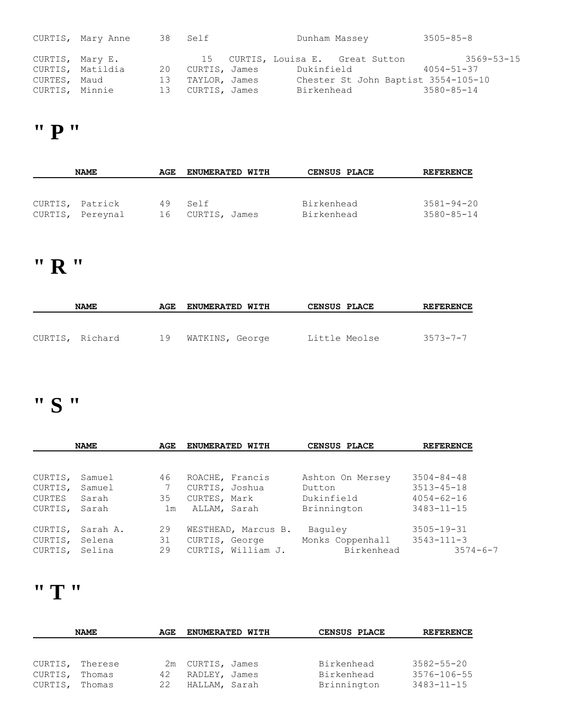|                 | CURTIS, Mary Anne |    | 38 Self          | Dunham Massey |                                     | $3505 - 85 - 8$  |
|-----------------|-------------------|----|------------------|---------------|-------------------------------------|------------------|
| CURTIS, Mary E. |                   |    |                  |               | 15 CURTIS, Louisa E. Great Sutton   | $3569 - 53 - 15$ |
|                 | CURTIS, Matildia  |    | 20 CURTIS, James |               | Dukinfield                          | $4054 - 51 - 37$ |
| CURTES, Maud    |                   | 13 | TAYLOR, James    |               | Chester St John Baptist 3554-105-10 |                  |
| CURTIS, Minnie  |                   |    | 13 CURTIS, James | Birkenhead    |                                     | $3580 - 85 - 14$ |

### **" P "**

| <b>NAME</b>      | AGE | <b>ENUMERATED WITH</b> | <b>CENSUS PLACE</b> | <b>REFERENCE</b> |
|------------------|-----|------------------------|---------------------|------------------|
|                  |     |                        |                     |                  |
|                  |     |                        |                     |                  |
| CURTIS, Patrick  | 49  | Self                   | Birkenhead          | $3581 - 94 - 20$ |
| CURTIS, Pereynal | 16  | CURTIS, James          | Birkenhead          | $3580 - 85 - 14$ |

### **" R "**

| <b>NAME</b>     | AGE | <b>ENUMERATED WITH</b> | <b>CENSUS PLACE</b> | <b>REFERENCE</b> |
|-----------------|-----|------------------------|---------------------|------------------|
|                 |     |                        |                     |                  |
| CURTIS, Richard | 19  | WATKINS, George        | Little Meolse       | $3573 - 7 - 7$   |

### **" S "**

|         | <b>NAME</b> | AGE            | ENUMERATED WITH     | CENSUS PLACE     | <b>REFERENCE</b> |
|---------|-------------|----------------|---------------------|------------------|------------------|
|         |             |                |                     |                  |                  |
| CURTIS, | Samuel      | 46             | ROACHE, Francis     | Ashton On Mersey | $3504 - 84 - 48$ |
| CURTIS, | Samuel      |                | CURTIS, Joshua      | Dutton           | $3513 - 45 - 18$ |
| CURTES  | Sarah       | 35             | CURTES, Mark        | Dukinfield       | $4054 - 62 - 16$ |
| CURTIS, | Sarah       | 1 <sub>m</sub> | ALLAM, Sarah        | Brinnington      | $3483 - 11 - 15$ |
| CURTIS, | Sarah A.    | 29             | WESTHEAD, Marcus B. | Baguley          | $3505 - 19 - 31$ |
| CURTIS, | Selena      | 31             | CURTIS, George      | Monks Coppenhall | $3543 - 111 - 3$ |
| CURTIS, | Selina      | 29             | CURTIS, William J.  | Birkenhead       | $3574 - 6 - 7$   |

### **" T "**

|         | <b>NAME</b> | AGE | ENUMERATED WITH  | CENSUS PLACE | <b>REFERENCE</b>  |
|---------|-------------|-----|------------------|--------------|-------------------|
|         |             |     |                  |              |                   |
|         |             |     |                  |              |                   |
| CURTIS, | Therese     |     | 2m CURTIS, James | Birkenhead   | $3582 - 55 - 20$  |
| CURTIS, | Thomas      | 42  | RADLEY, James    | Birkenhead   | $3576 - 106 - 55$ |
| CURTIS, | Thomas      | 22  | HALLAM, Sarah    | Brinnington  | $3483 - 11 - 15$  |